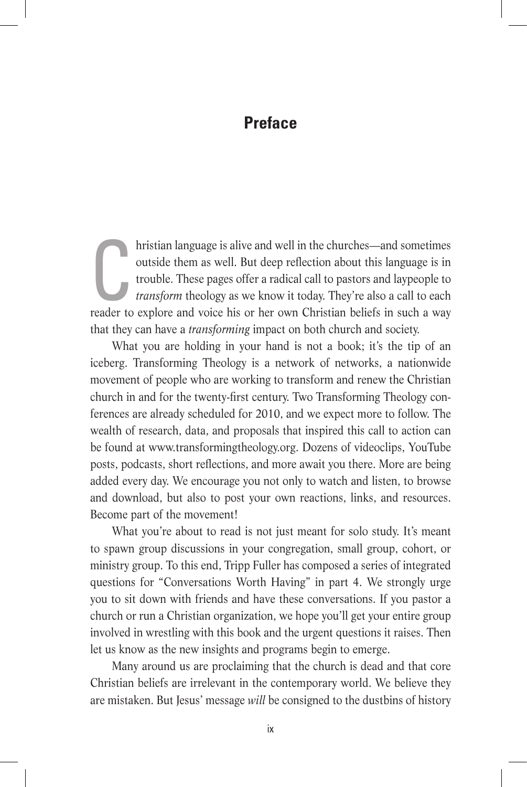## **Preface**

hristian language is alive and well in the churches—and sometimes<br>outside them as well. But deep reflection about this language is in<br>trouble. These pages offer a radical call to pastors and laypeople to<br>*transform* theolo hristian language is alive and well in the churches—and sometimes outside them as well. But deep reflection about this language is in trouble. These pages offer a radical call to pastors and laypeople to *transform* theology as we know it today. They're also a call to each that they can have a *transforming* impact on both church and society.

What you are holding in your hand is not a book; it's the tip of an iceberg. Transforming Theology is a network of networks, a nationwide movement of people who are working to transform and renew the Christian church in and for the twenty-first century. Two Transforming Theology conferences are already scheduled for 2010, and we expect more to follow. The wealth of research, data, and proposals that inspired this call to action can be found at www.transformingtheology.org. Dozens of videoclips, YouTube posts, podcasts, short reflections, and more await you there. More are being added every day. We encourage you not only to watch and listen, to browse and download, but also to post your own reactions, links, and resources. Become part of the movement!

What you're about to read is not just meant for solo study. It's meant to spawn group discussions in your congregation, small group, cohort, or ministry group. To this end, Tripp Fuller has composed a series of integrated questions for "Conversations Worth Having" in part 4. We strongly urge you to sit down with friends and have these conversations. If you pastor a church or run a Christian organization, we hope you'll get your entire group involved in wrestling with this book and the urgent questions it raises. Then let us know as the new insights and programs begin to emerge.

Many around us are proclaiming that the church is dead and that core Christian beliefs are irrelevant in the contemporary world. We believe they are mistaken. But Jesus' message *will* be consigned to the dustbins of history